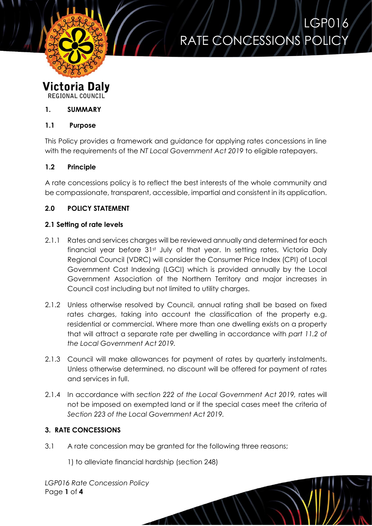

LGP016 RATE CONCESSIONS POLICY

#### **Victoria Daly REGIONAL COUNCIL**

# **1. SUMMARY**

### **1.1 Purpose**

This Policy provides a framework and guidance for applying rates concessions in line with the requirements of the *NT Local Government Act 2019* to eligible ratepayers.

# **1.2 Principle**

A rate concessions policy is to reflect the best interests of the whole community and be compassionate, transparent, accessible, impartial and consistent in its application.

### **2.0 POLICY STATEMENT**

### **2.1 Setting of rate levels**

- 2.1.1 Rates and services charges will be reviewed annually and determined for each financial year before 31st July of that year. In setting rates, Victoria Daly Regional Council (VDRC) will consider the Consumer Price Index (CPI) of Local Government Cost Indexing (LGCI) which is provided annually by the Local Government Association of the Northern Territory and major increases in Council cost including but not limited to utility charges.
- 2.1.2 Unless otherwise resolved by Council, annual rating shall be based on fixed rates charges, taking into account the classification of the property e.g. residential or commercial. Where more than one dwelling exists on a property that will attract a separate rate per dwelling in accordance with *part 11.2 of the Local Government Act 2019.*
- 2.1.3 Council will make allowances for payment of rates by quarterly instalments. Unless otherwise determined, no discount will be offered for payment of rates and services in full.
- 2.1.4 In accordance with *section 222 of the Local Government Act 2019,* rates will not be imposed on exempted land or if the special cases meet the criteria of *Section 223 of the Local Government Act 2019.*

# **3. RATE CONCESSIONS**

3.1 A rate concession may be granted for the following three reasons;

1) to alleviate financial hardship (section 248)

*LGP016 Rate Concession Policy* Page **1** of **4**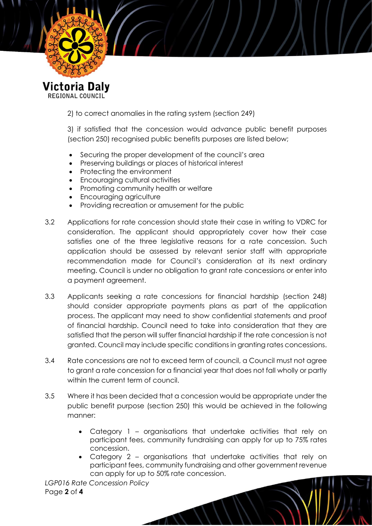

REGIONAL COUNCIL

2) to correct anomalies in the rating system (section 249)

3) if satisfied that the concession would advance public benefit purposes (section 250) recognised public benefits purposes are listed below;

- Securing the proper development of the council's area
- Preserving buildings or places of historical interest
- Protecting the environment
- Encouraging cultural activities
- Promoting community health or welfare
- Encouraging agriculture
- Providing recreation or amusement for the public
- 3.2 Applications for rate concession should state their case in writing to VDRC for consideration. The applicant should appropriately cover how their case satisfies one of the three legislative reasons for a rate concession. Such application should be assessed by relevant senior staff with appropriate recommendation made for Council's consideration at its next ordinary meeting. Council is under no obligation to grant rate concessions or enter into a payment agreement.
- 3.3 Applicants seeking a rate concessions for financial hardship (section 248) should consider appropriate payments plans as part of the application process. The applicant may need to show confidential statements and proof of financial hardship. Council need to take into consideration that they are satisfied that the person will suffer financial hardship if the rate concession is not granted. Council may include specific conditions in granting rates concessions.
- 3.4 Rate concessions are not to exceed term of council, a Council must not agree to grant a rate concession for a financial year that does not fall wholly or partly within the current term of council.
- 3.5 Where it has been decided that a concession would be appropriate under the public benefit purpose (section 250) this would be achieved in the following manner:
	- Category 1 organisations that undertake activities that rely on participant fees, community fundraising can apply for up to 75% rates concession.
	- Category 2 organisations that undertake activities that rely on participant fees, community fundraising and other government revenue can apply for up to 50% rate concession.

*LGP016 Rate Concession Policy* Page **2** of **4**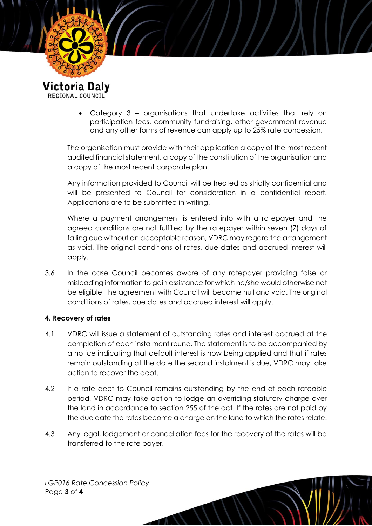

 Category 3 – organisations that undertake activities that rely on participation fees, community fundraising, other government revenue and any other forms of revenue can apply up to 25% rate concession.

The organisation must provide with their application a copy of the most recent audited financial statement, a copy of the constitution of the organisation and a copy of the most recent corporate plan.

Any information provided to Council will be treated as strictly confidential and will be presented to Council for consideration in a confidential report. Applications are to be submitted in writing.

Where a payment arrangement is entered into with a ratepayer and the agreed conditions are not fulfilled by the ratepayer within seven (7) days of falling due without an acceptable reason, VDRC may regard the arrangement as void. The original conditions of rates, due dates and accrued interest will apply.

3.6 In the case Council becomes aware of any ratepayer providing false or misleading information to gain assistance for which he/she would otherwise not be eligible, the agreement with Council will become null and void. The original conditions of rates, due dates and accrued interest will apply.

#### **4. Recovery of rates**

- 4.1 VDRC will issue a statement of outstanding rates and interest accrued at the completion of each instalment round. The statement is to be accompanied by a notice indicating that default interest is now being applied and that if rates remain outstanding at the date the second instalment is due, VDRC may take action to recover the debt.
- 4.2 If a rate debt to Council remains outstanding by the end of each rateable period, VDRC may take action to lodge an overriding statutory charge over the land in accordance to section 255 of the act. If the rates are not paid by the due date the rates become a charge on the land to which the rates relate.
- 4.3 Any legal, lodgement or cancellation fees for the recovery of the rates will be transferred to the rate payer.